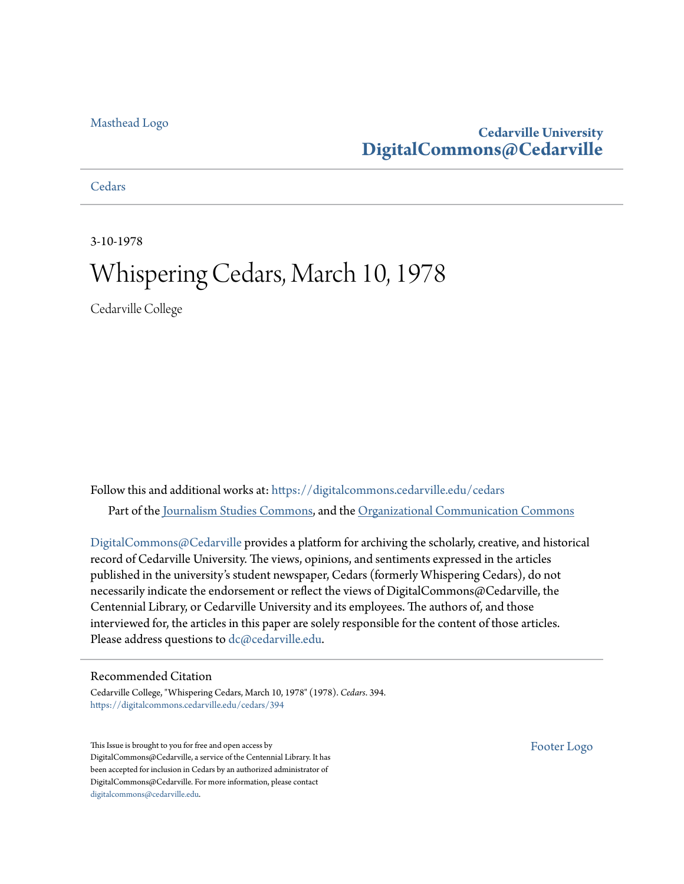#### [Masthead Logo](http://www.cedarville.edu/?utm_source=digitalcommons.cedarville.edu%2Fcedars%2F394&utm_medium=PDF&utm_campaign=PDFCoverPages)

### **Cedarville University [DigitalCommons@Cedarville](https://digitalcommons.cedarville.edu?utm_source=digitalcommons.cedarville.edu%2Fcedars%2F394&utm_medium=PDF&utm_campaign=PDFCoverPages)**

**[Cedars](https://digitalcommons.cedarville.edu/cedars?utm_source=digitalcommons.cedarville.edu%2Fcedars%2F394&utm_medium=PDF&utm_campaign=PDFCoverPages)** 

3-10-1978

# Whispering Cedars, March 10, 1978

Cedarville College

Follow this and additional works at: [https://digitalcommons.cedarville.edu/cedars](https://digitalcommons.cedarville.edu/cedars?utm_source=digitalcommons.cedarville.edu%2Fcedars%2F394&utm_medium=PDF&utm_campaign=PDFCoverPages) Part of the [Journalism Studies Commons](http://network.bepress.com/hgg/discipline/333?utm_source=digitalcommons.cedarville.edu%2Fcedars%2F394&utm_medium=PDF&utm_campaign=PDFCoverPages), and the [Organizational Communication Commons](http://network.bepress.com/hgg/discipline/335?utm_source=digitalcommons.cedarville.edu%2Fcedars%2F394&utm_medium=PDF&utm_campaign=PDFCoverPages)

[DigitalCommons@Cedarville](http://digitalcommons.cedarville.edu/) provides a platform for archiving the scholarly, creative, and historical record of Cedarville University. The views, opinions, and sentiments expressed in the articles published in the university's student newspaper, Cedars (formerly Whispering Cedars), do not necessarily indicate the endorsement or reflect the views of DigitalCommons@Cedarville, the Centennial Library, or Cedarville University and its employees. The authors of, and those interviewed for, the articles in this paper are solely responsible for the content of those articles. Please address questions to [dc@cedarville.edu.](mailto:dc@cedarville.edu)

#### Recommended Citation

Cedarville College, "Whispering Cedars, March 10, 1978" (1978). *Cedars*. 394. [https://digitalcommons.cedarville.edu/cedars/394](https://digitalcommons.cedarville.edu/cedars/394?utm_source=digitalcommons.cedarville.edu%2Fcedars%2F394&utm_medium=PDF&utm_campaign=PDFCoverPages)

This Issue is brought to you for free and open access by DigitalCommons@Cedarville, a service of the Centennial Library. It has been accepted for inclusion in Cedars by an authorized administrator of DigitalCommons@Cedarville. For more information, please contact [digitalcommons@cedarville.edu](mailto:digitalcommons@cedarville.edu).

[Footer Logo](http://www.cedarville.edu/Academics/Library.aspx?utm_source=digitalcommons.cedarville.edu%2Fcedars%2F394&utm_medium=PDF&utm_campaign=PDFCoverPages)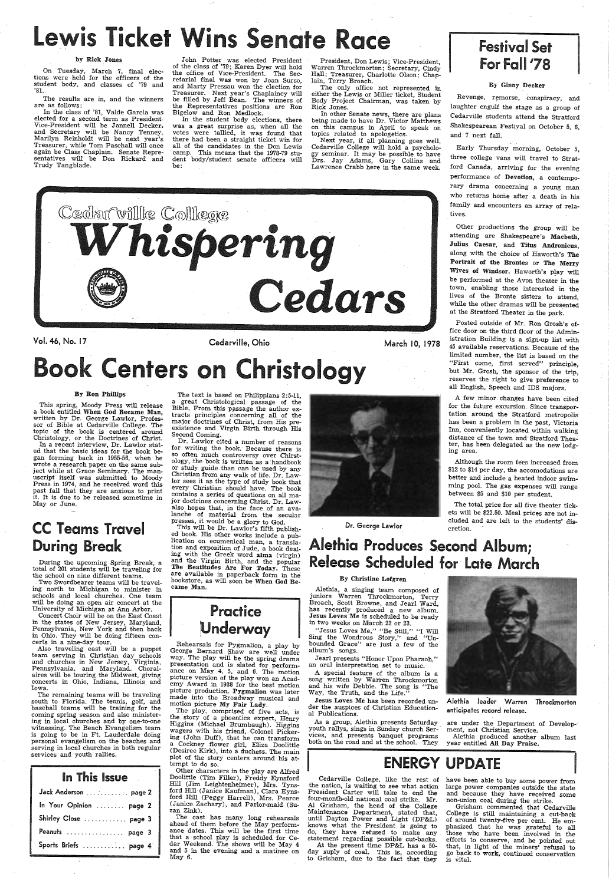# Lewis Ticket Wins Senate Race Fresident Festival Set Festival Set By Rick Jones John Potter was elected President President, Don Lewis; Vice-President, Chapper Roll 178

tions were held for the officers of the student body, and classes of '79 and '81.

The results are in, and the winners are as follows :

 In the class of '81, Valde Garcia was elected for a second term as President. Vice-President will be Jannell Decker. and Secretary will be Nancy Tenney. Marilyn Reinholdt will be next year's Treasurer, while Tom Paschall will once again be Class Chaplain. Senate Representatives will be Don Rickard and Trudy Tangblade.

In the student body elections, there was a great surprise as, when all the votes were tallied, it was found that there had been a straight ticket win for all of the candidates in the Don Lewis camp. This means that the 1978-79 student body/student senate officers will be:

Warren Throckmorten; Secretary, Cindy<br>Hall; Treasurer, Charlotte Olson; Chap-<br>lain, Terry Broach.<br>The only office not represented in

John Potter was elected President of the class of '79; Karen Dyer will hold the office of Vice-President. The Secretarial final was won by Joan Surso, and Marty Pressau won the election for be filled by Jeff Bean. The winners of the Representatives positions are Ron Bigelow and Ron Medlock.

This spring, Moody Press will release<br>a book entitled When God Became Man, written by Dr. George Lawlor, Professor of Bible at Cedarville College. The topic of the book is centered around Christology, or the Doctrines of Christ.

# **CC Teams Travel** During Break

During the upcoming Spring Break, a total of 201 students will be traveling for the school on nine different teams.

Vol. 46, No. 17

#### By Ron Phillips

certs in a nine-day tour.<br>Also traveling east will be a puppet<br>team serving in Christian day\_schools and churches in New Jersey, Virginia, Pennsylvania, and Maryland. Choral-<br>aires will be touring the Midwest, giving concerts in Ohio, Indiana, Illinois and Iowa.

The remaining teams will be traveling south to Florida. The tennis, golf, and baseball teams will be training for the coming spring season and also ministering in local churches and by one-to-one witnessing. The Beach Evangelism team is going to be in Ft. Lauderdale doing personal evangelism on the beaches and serving in local churches in both regular services and youth rallies.

| In This Issue           |
|-------------------------|
| Jack Anderson  page 2   |
| In Your Opinion  page 2 |
| Shirley Close  page 3   |
| Peanuts  page 3         |
| Sports Briefs  "page 4" |

In a recent interview, Dr. Lawlor stated that the basic ideas for the book began forming back in 1955-56, when he ject while at Grace Seminary. The man-<br>uscript itself was submitted to Moody<br>Press in 1974, and he received word this<br>past fall that they are anxious to print past fall that they are anxious to print it. It is due to be released sometime in May or June.

. Two Swordbearer teams will be travelschools and local churches. One team will be doing an open air concert at the University of Michigan at Ann Arbor.

presses, it would be a glory to God.<br>This will be Dr. Lawlor's fifth published book. His other works include a pub-<br>lication on ecumenical man, a translation and exposition of Jude, a book dealing with the Greek word alma (virgin) and the Virgin Birth, and the popular The Beatitudes Are For Today. These are available in paperback form in the bookstore, as will soon be When God Became Man.

Concert Choir will be on the East Coast in the states of New Jersey, Maryland, Pennsylvania, New York and then back in Ohio. They will be .doing fifteen con-

The text is based on Philippians 2:5-11,<br>a great Christological passage of the Bible. From this passage the author extracts principles concerning all of the major doctrines of Christ, from His pre-<br>existence and Virgin Birth through His<br>Second Coming.

either the Lewis or Miller ticket, Student Body Project Chairman, was taken by Rick Jones.

Cedarville College will hold a psycholo-<br>gy seminar. It may be possible to have gy seminar. It may be possible to have Drs. Jay Adams, Gary Collins and Lawrence Crabb here in the same week.

Cedarf villle Colllege **।**<br>१८ Cedars

Revenge, remorse, conspiracy, and laughter engulf the stage as a group of Cedarville students attend the Stratford Shakespearean Festival on October 5, 6, and 7 next fall.

Cedarville. Ohio

March 10, 1978

# **Centers on Christology**

<sup>A</sup>few minor. changes have been cited for the future excursion. Since transportation around the Stratford metropolis has been a problem in the past, Victoria Inn, conveniently located within walking distance of the town and Stratford Theater, has been delegated as the new lodg-<br>ing area.

Dr. Lawlor cited a number of reasons for writing the book. Because there is so often much controversy over Chirst-<br>ology, the book is written as a handbook<br>or study guide than can be used by any Christian from any walk of life. Dr. Lawlor sees it as the type of study book that every Christian should have. The book contains a series of questions on all ma- jor doctrines concerning Christ. Dr. Lawalso hopes that, in the face of an avalanche of material from the secular

# Alethia Produces Second Album; Release Scheduled for Late March

"Jesus Loves Me," "Be Still," "I Will Sing the Wondrous Story," and "Un-<br>bounded Grace" are just a few of the<br>album's songs.





Rehearsals for Pygmalion, <sup>a</sup>play by George Bernard Shaw are well under way. The play will be the spring drama presentation and is slated for performance on May 4, 5, and 6. The motion <sup>p</sup>icture version of the play won an Academy Award in 1938 for the best motion picture production. Pygmalion was later<br>made into the Broadway musical and motion picture My Fair Lady.<br>The play, comprised of five acts, is<br>the story of a phoentics expert, Henry<br>Higgins (Michael Brumbaugh). Higgins wagers with his friend, Colonel Pickering (John Duff), that he can transform <sup>a</sup>Cockney flower girl, Eliza Doolittle (Desiree Kirk), into a duchess. The main <sup>p</sup>lot of the story centers around his attempt to do so. Other characters in the play are Alfred<br>Doolittle (Tim Filler), Freddy Eynsford<br>Hill (Jim Leightenheimer), Mrs. Tyns-<br>ford Hill (Janice Kaufman), Clara Eynsford Hill (Peggy Harrell), Mrs. Pearce<br>(Janice Zachary), and Parlor-maid (Suzan Zink).<br>The cast has many long rehearsals ahead of them before the May performance dates. This will be the first time that a school play is scheduled for Cedar Weekend. The shows will be May· 4 and 5 in the evening and a matinee on May 6.



 In other Senate news, there are plans being made to have Dr. Victor Matthews on this campus in April to speak on topics related to apologetics.

Dr. George Lawlor

#### By Ginny Decker

Early Thursday morning, October 5, three college vans will travel to Stratford Canada, arriving for the evening performance of Devotion, a contemporary drama concerning a young man who returns home after a death in his family and encounters an array of relatives.

Other productions the group will be attending are Shakespeare's Macbeth, Julius Caesar, and Titus Andronicus, along with the choice of Haworth's The Portrait of the Brontes or The Merry Wives of Windsor. Haworth's play will be performed at the Avon theater in the town, enabling those interested in the lives of the Bronte sisters to attend, while the other dramas will be presented at the Stratford Theater in the park.

Posted outside of Mr. Ron Grosh's office door on the third floor of the Administration Building is a sign-up list with 45 available reservations. Because of the limited number, the list is based on the "First come, first served" principle, but Mr. Grosh, the sponsor of the trip, reserves the right to give preference to all English, Speech and IDS majors.

Although the room fees increased from \$12 to \$14 per day, the accomodations are better and include a heated indoor swimming pool. The gas expenses will range between \$5 and \$10 per student.

The total price for all five theater tickets will be \$22.50. Meal prices are not included and are left to the students' discretion.

#### By Christine Lofgren

Alethia, a singing team composed of juniors Warren Throckmorton, Terry Broach, Scott Browne, and Jearl Ward, has recently produced <sup>a</sup>new album. Jesus Loves Me is scheduled to be ready in two weeks on March 22 or 23.

Jearl presents "Honor Upon Pharaoh," an oral interpretation set to music.

A special feature of the album is <sup>a</sup> song written by Warren Throckmorton and his wife Debbie. The song·is "The Way, the Truth, and the Life."

Jesus Loves Me has been recorded under the auspices of Christian Educational Publications.

As a group, Alethia presents Saturday youth rallys, sings in Sunday church Services, and presents banquet programs both on the road and at the school. They

Alethia leader Warren anticipates record release. Throckmorton

are under the Department of Develop-· ment, not Christian Service.

Alethia produced another album last year entitled All Day Praise.

# ENERGY UPDATE

Cedarville College, like the rest of the nation, is waiting to see what action<br>President Carter will take to end the four-month-old national coal strike. Mr. Al Grisham, the head of the College Maintenance Department, stated that, until Dayton Power and Light (DP&L) knows what the President is going to do, they have refused to make any statement regarding possible cut-backs. At the present time DP&L has a 50 day suply of coal. This is, according to Grisham, due to the fact that they

have been able to buy some power from large power companies outside the state and because they have received some non-union coal during the strike.

Grisham commented that Cedarville College is still maintaining a cut-back of around twenty-five per cent. He em phasized that he was grateful to all those who have been involved in the efforts to conserve, and he pointed out that, in light of the miners' refusal to go back to work, continued conservation is vital.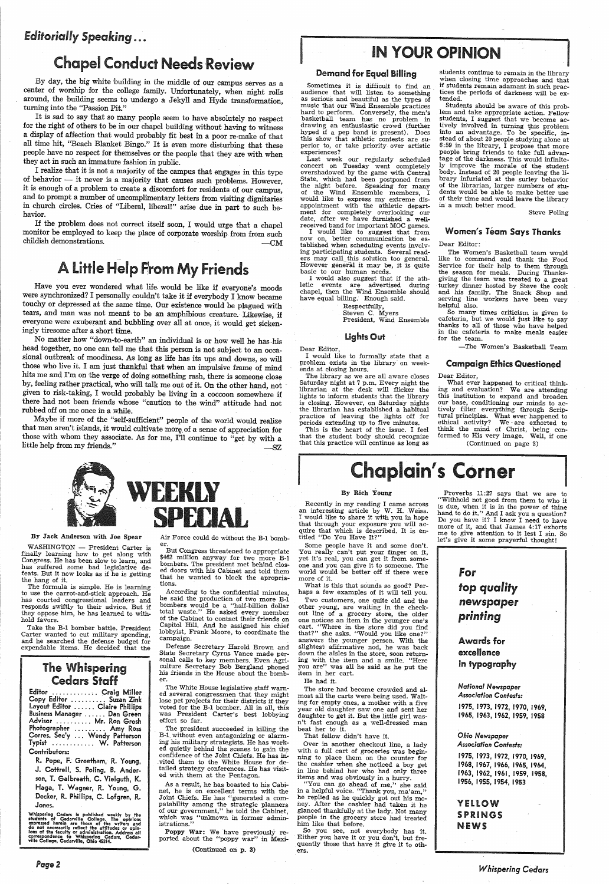### *Editorially Speaking ...*

# **Chapel Conduct Needs Review**

By day, the big white building in the middle of our campus serves as a center of worship for the college family. Unfortunately, when night rolls around, the building seems to undergo a Jekyll and Hyde transformation, turning into the "Passion Pit."

It is sad to say that so many people seem to have absolutely no respect for the right of others to be in our chapel building without having to witness a display of affection that would probably fit best in a poor re-make of that people have no respect for themselves or the people that they are with when they act in such an immature fashion in public.<br>I realize that it is not a majority of the campus that engages in this type

of behavior — it never is a majority that causes such problems. However, it is enough of a problem to create a discomfort for residents of our campus, and to prompt a number of uncomplimentary letters from visiting dignita

If the problem does not correct itself soon, I would urge that a chapel monitor be employed to keep the place of corporate worship from from such childish demonstrations.  $\qquad \qquad -CM$ 

# A Little Help From My Friends

Have you ever wondered what life would be like if everyone's moods were synchronized? I personally couldn't take it if everybody I know became touchy or depressed at the same time. Our existence would be plagued with tears, and man was not meant to be an amphibious creature. likewise, if everyone were exuberant and bubbling over all at once, it would get sicken- ingly tiresome after a short time.

No matter how "down-to-earth" an individual is or how well he has-his head together, no one can tell me that this person is not subject to an occasional outbreak of moodiness. As long as life has its ups and downs, so will those who live it. I am just thankful that when an impulsive frame of mind hits me and I'm on the verge of doing something rash, there is someone close by, feeling rather practical, who will talk me out of it. On the other hand, not <sup>g</sup>iven to risk-taking, I would probably be living in a coccoon somewhere if there had not been friends whose "caution to the wind" attitude had not rubbed off on me once in a while.

Maybe if more of the "self-sufficient" people of the world would realize that men aren't islands, it would cultivate more of a sense of appreciation for those with whom they associate. As for me, I'll continue to "get by with a little help from my friends."  $-SZ$ 



By Jack Anderson with Joe Spear

WASHINGTON - President Carter is<br>finally learning how to get along with Congress. He has been slow to learn, and<br>has suffered some bad legislative defeats. But it now looks as if he is getting the hang of it.

The formula is simple. He is learning<br>to use the carrot-and-stick approach. He has courted congressional leaders and responds swiftly to their advice. But if they oppose him, he has learned to withhold favors.

Take the B-1 bomber battle. President<br>Carter wanted to cut military spending, and he searched the defense budget for expendable items. He decided that the

 $\overline{L}$  $\mathbf{F}^{\ast}_{k}$ 

Defense Secretary Harold Brown and<br>State Secretary Cyrus Vance made personal calls to key members. Even Agri-<br>culture Secretary Bob Bergland phoned<br>his friends in the House about the bomber.

The White House legislative staff warn-<br>ed several congressmen that they might lose pet projects for their districts if they voted for the B-1 bomber. All in all, this was President Carter's best lobbying effort so far.

Sometimes it is difficult to find an audience that will listen to something music that our Wind Ensemble practices<br>hard to perform. Conversely, the men's<br>basketball team has no problem in<br>drawing an enthusiastic crowd (further<br>hyped if a pep band is present). Does this show that athletic contests are superior to., or take priority over artistic experiences?

### The Whispering Cedars Staff

|                                | Editor  Craig Miller    |
|--------------------------------|-------------------------|
|                                | Copy Editor  Suzan Zink |
| Layout Editor  Claire Phillips |                         |
| Business Manager  Dan Green    |                         |
| Advisor  Mr. Ron Grosh         |                         |
| Photographer  Amy Ross         |                         |
| Corres. Sec'y  Wendy Patterson |                         |
| Typist  W. Patterson           |                         |
| Contributors:                  |                         |

I would also suggest that if the ath-<br>letic events are advertised during chapel, then the Wind Ensemble should have equal billing. Enough said.

R. Pope, F. Greetham, R. Young, J. Cottrell, S. Poling, B. Anderson, T. Galbreath, C. Vielguth, K. Haga, T. Wagner, R. Young, G. Decker, R. Phillips, C. Lofgren, R. Jones.

Whispering Cedars is published weekly by the students of Cedarville College. The opinions expressed herein are those of the writers and do not necessarily reflect the attitudes or opinions of the faculty or administration.

students continue to remain in the library when closing time approaches and that if students remain adamant in such practices the periods of darkness will be extended.

Page2

Air Force could do without the B-1 bomber.

The Women's Basketball team would like to commend and thank the Food Service for their help to them through the season for meals. During Thanks turkey dinner hosted by Steve the cook and his family. The Snack Shop and serving line workers have been very helpful also. So many times criticism is given to

cafeteria, but we would just like to say thanks to all of those who have helped in the cafeteria to make meals easier for the team.

But Congress threatened to appropriate \$462 million anyway for two more B-1 bombers. The president met behind closed doors with his Cabinet and told them that he wanted to block the apropria- tions.

According to the confidential minutes, he said the production of two more B-1 bombers would be a "half-billion dollar total waste." He asked every member of the Cabinet to contact their friends on Capitol Hill. And he assigned his chief lobbyist, Frank Moore, to coordinate the campaign.

# IN YOUR OPINION

#### Demand for Equal Billing

What ever happened to critical think-<br>ing and evaluation? We are attending this institution to expand and broaden our base, conditioning our minds to actively filter everything through Scriptural principles. What ever happened to ethical activity? We are exhorted to think the mind of Christ, being conformed to His very image. Well, if one (Continued on page 3)

# **Chaplain's Corner**

Some people have it and some don't. You really can't put your finger on it, yet it's real, you can get it from someone and you can give it to someone. The world would be better off if there were more of it.<br>What is this that sounds so good? Per-

haps a few examples of it will tell you.

Two customers, one quite old and the other young, are waiting in the checkout line of <sup>a</sup>grocery store, the older one notices an item in the younger one's that?" she asks. "Would you like one?" answers the younger person. With the slightest afifrmative nod, he was back down the aisles in the store, soon returning with the item and a smile. "Here you are'' was all he said as he put the<br>item in her cart.

The president succeeded in killing the B-1. without even antagonizing or alarm- ing his military strategists. He has work ed quietly behind the scenes to gain the confidence of the Joint Chiefs. He has in- . vited them to the White House for detailed strategy conferences. He has visited with them at the Pentagon.

The store had become crowded and almost all the carts were being used. Waiting for empty ones, a mother with a five year old daughter saw one and sent her daughter to get it. But the little girl was <sup>n</sup>'t fast enough as a well-dressed man beat her to it.

As a result, he has boasted to his Cabinet, he is on excellent terms with the Joint Chiefs. He has "generated a compatability among the strategic planners of our government," he told the Cabinet, which was "unknown in former administrations."

"You can go ahead of me," she said<br>in a helpful voice. "Thank you, ma'am," he replied as he quickly got out his money. After the cashier had taken it he <sup>g</sup>lanced thankfully at the lady. Not many people in the grocery store had treated him like that before.

Poppy War: We have previously re- ported about the "poppy war" in Mexi-

(Continued on p. 3)

#### YELLOW SPRINGS **NEWS**

Last week our regularly scheduled concert on Tuesday went completely<br>overshadowed by the game with Central<br>State, which had been postponed from the night before. Speaking for many of the Wind Ensemble members, I would like to express my extreme disappointment with the athletic depart-<br>ment for completely overlooking our date, after we have furnished a wellreceived band for important MOC games. I would like to suggest that from

now on, better communication be established when scheduling events involving participating students. Several read-<br>ers may call this solution too general. However general it may be, it is quite basic to our human needs.

#### Dear Editor,

Respectfully, Steven C. Myers President, Wind Ensemble

#### lights Out

<sup>I</sup>would like to formally state that <sup>a</sup> problem exists in the library on week- ends at closing hours.

The library as we are all aware closes Saturday night at 7 p.m, Every night the librarian at the desk will flicker the is closing. However, on Saturday nights the librarian has established a habitual practice of leaving the lights off for periods extending up to five minutes.

This is the heart of the issue. I feel that the student body should recognize that this practice will continue as long as

Students should be aware of this prob- lem and take appropriate action. Fellow students, I suggest that we become acinto an advantage. To be specific, instead of about 20 people studying alone at  $6:59$  in the library, I propose that more people bring friends to take full advantage of the darkness. This would infinitely improve the morale of the student body. Instead of 20 people leaving the li-<br>brary infuriated at the surley behavior<br>of the librarian, larger numbers of students would be able to make better use of their time and would leave the library in a much better mood.

Steve Poling

#### Women's *1* eam Says Thanks

#### Dear Editor:

-The Women's Basketball Team

#### Campaign Ethics Questioned

#### Dear Editor,

#### By Rich Young

Recently in my reading I came across an interesting article by W. H. Weiss. <sup>I</sup>would like to share it with you in hope that through your exposure you will ac quire that which is described. It is entitled "Do You Have It?"

He had it.

That fellow didn't have it.

Over in another checkout line, a lady with a full cart of groceries was beginning to place them on the counter for the cashier when she noticed a boy get in line behind her who had only three items and was obviously in a hurry.

So you see, not everybody has it. Either you have it or you don't, but frequently those that have it give it to others.

Proverbs 11:27 says that we are to "Withhold not good from them to who it hand to do it." And I ask you a question?<br>Do you have it? I know I need to have more of it, and that James 4:17 exhorts me to give attention to it lest I sin. So let's give it some prayerful thought!



#### excellence in typography

*National Newspaper Association Contests:* 

1975, 1973, 1972, 1970, 1969, 1965, 1963, 1962, 1959, 1958

#### *Ohio Newspaper Association Contests:*

1975, 1973, 1972, 1970, 1969, 1968, 1967, 1966, 1965, 1964, 1963, 1962, 1961, 1959, 1958, 1956, 1955, 1954, 1953

*Whispering Cedars*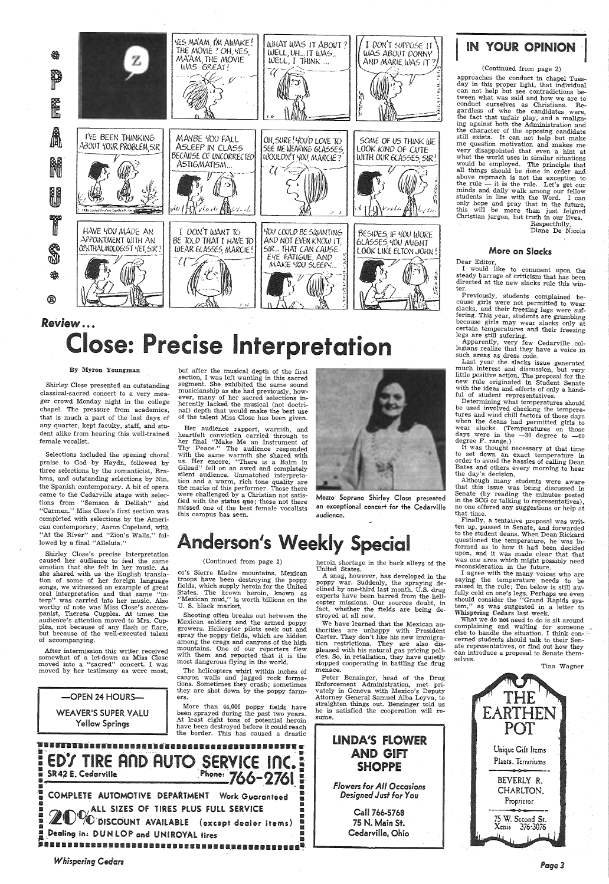

# *Review ......* lose: Precise Interpretation

#### By Myron Youngman

Shirley Close presented an outstanding classical-sacred concert to a very meager crowd Monday night in the college chapel. The pressure from academics, that is much a part of the last days of any quarter, kept faculty, staff, and student alike from hearing this well-trained female vocalist.

but after the musical depth of the first section, I was left wanting in this sacred segment. She exhibited the same sound musicianship as she had previously, however, many of her sacred selections inherently lacked the musical (not doctri- nal) depth that would make the best use of the talent Miss Close has been given.

> Mezzo Soprano Shirley Close presented an exceptional concert for the Cedarville audience.

Selections included the opening choral praise to God by Haydn, followed by three selections by the romanticist, Brahms, and outstanding selections by Nin, the Spanish contemporary. A bit of opera came to the Cedarville stage with selections from "Samson & Delilah" and "Carmen." Miss Close's first section was completed with selections by the American contemporary, Aaron Copeland, with "At the River" and "Zion's Walls," followed by a final "Alleluia."

# nderson's Weekly Special

Her audience rapport, warmth, and heartfelt conviction carried through to · her final "Make Me an Instrument of Thy Peace." The audience responded with the same warmth she shared with us. Her encore, "There is a Balm in Gilead" fell on an awed and completely silent audience. Unmatched interpreta-<br>tion and a warm, rich tone quality are<br>the marks of this performer. Those there<br>were challenged by a Christian not satisfied with the status quo; those not there missed one of the best female vocalists this campus has seen.



Shirley Close's precise interpretation caused her audience to feel the same emotion that she felt in her music. As she shared with us the English translation of some of her foreign language songs, we witnessed an example of great oral interpretation and that same "interp" was carried into her music. Also worthy of note was Miss Close's accompanist, Theresa Cupples. At times the audience's attention moved to Mrs. Cupples, not because of any flash or flare, ples, not because of any flash or flare,<br>but because of the well-executed talent of accompanying.

> -OPEN 24 HOURS-WEAVER'S SUPER YALU Yellow Springs

mountains. One of our reporters flew with them and reported that it is the most dangerous flying in the world.

The helicopters whirl within inches of canyon walls and jagged rock formations. Sometimes they crash; sometimes they are shot down by the poppy farmers.

More than 44,000 poppy fields have been sprayed during the past two years. At least eight tons of potential heroin have been destroyed before it could reach the border. This has caused a drastic

ENTERTAINMENT AND AUTO SERVICE INC. SR42 E. Cedarville . Phone:  $766-076$  $\overline{a}$  $\sim$  .  $\sim$  .  $\sim$  .  $\sim$  .  $\sim$  . **E** COMPLETE AUTOMOTIVE DEPARTMENT Work Guaranteed 11 ) ALL SIZES OF TIRES PLUS FULL SERVICE :<br>"O DISCOUNT AVAILABLE (except degler items) : Dealing in: DUN LOP and UNIROYAL tires

We have learned that the Mexican authorities are unhappy with President Carter. They don't like his new immigration restrictions. They are also dis<sup>p</sup>leased with his natural gas pricing poli- cies. So, in retaliation, they have quietly stopped cooperating in battling the drug menace.

## **IN YOUR OPINION**

Peter Bensinger, head of the Drug<br>Enforcement Administration, met pri-<br>vately in Geneva with Mexico's Deputy<br>Attorney General Samuel Alba Leyva, to<br>straighten things out. Bensinger told us<br>he is satisfied the cooperation w sume.

After intermission this writer received somewhat of a let-down as Miss Close moved into a "sacred" concert. I was moved by her testimony as were most,

#### (Continued from page 2)

co's Sierre Madre mountains. Mexican troops have been destroying the poppy fields, which supply heroin for the United States. The brown heroin, known as "Mexican mud," is worth billions on the U. S. black market.

Shooting often breaks out between the Mexican soldiers and the armed poppy growers. Helicopter pilots seek out and spray the poppy fields, which are hidden heroin shortage in the back alleys of the United States.

A snag, however, has developed in the<br>poppy war. Suddenly, the spraying declined by one-third last month. U.S. drug experts have been barred from the heli-<br>copter missions. Our sources doubt, in fact, whether the fields are being destroyed at all now. Dear Editor,<br>I would like to comment upon the steady barrage of criticism that has been directed at the new slacks rule this winter.

Previously, students complained beslacks, and their freezing legs were suf-<br>fering. This year, students are grumbling<br>because girls may wear slacks only at<br>certain temperatures and their freezing<br>legs are still sufering.<br>Apparently, very few Cedarville col

legians realize that they have a voice in such areas as dress code.

Last year the slacks issue generated much interest and discussion, but very little positive action. The proposal for the new rule originated in Student Senate with the ideas and efforts of only a hand-<br>ful of student representatives.<br>Determining what temperatures should

be used involved checking the tempera-<br>tures and wind chill factors of those days<br>when the deans had permitted girls to<br>wear slacks. (Temperatures on those days were in the  $-30$  degree to  $-60$  degree F. range.)

Although many students were aware<br>that this issue was being discussed in Senate (by reading the minutes posted in the SCG or talking to representatives), no one offered any suggestions or help at that time.

 Finally, a tentative proposal was written up, passed in Senate, and forwarded to the student deans. When Dean Rickard questioned the temperature, he was informed as to how it had been decided upon, and it was made clear that that was one area which might possibly need reconsideration in the future. reconsideration in the future.

### LINDA1S FLOWER AND GIFT SHOPPE

*Flowers for All Occasions Designed Just for You* 

> Call 766-5768 75 N. Main St. Cedarville. Ohio

#### (Continued from page 2)

approaches the conduct in chapel Tues- day in this proper light, that individual can not help but see contradictions between what was said and how we are to conduct ourselves as Christians. Regardless of who the candidates were,<br>the fact that unfair play, and a malign-<br>ing against both the Administration and the character of the opposing candidate still exists. It can not help but make me question motivation and makes me very disappointed that even a hint at what the world uses in similar situations would be employed. The principle that all things should be done in order and above reproach is not the exception to the rule  $-$  it is the rule. Let's get our minds and daily walk among our fellow students in line with the Word. I can only hope and pray that in the future, students in line with the Word. I can this will be more than just feigned Christian jargon, but truth in our lives. Respectfully,

Diane De Nicola

#### More on Slacks

It was thought necessary at that time to set down an exact temperature in order to avoid the hassles of calling Dean Bates and others every morning to hear the day's decision.

<sup>I</sup>agree with the many voices who are saying the temperature needs to be raised in the rule; Ten below is still awfully cold on one's legs. Perhaps we even should consider the "Grand Rapids sys- tem," as was suggested in a letter to Whispering Cedars last week.

What we do not need to do is sit around complaining and waiting for someone else to handle the situation. I think concerned students should talk to their Senate representatives, or find out how they can introduce a proposal to Senate them selves.

Tina Wagner



**Whispering Cedars**